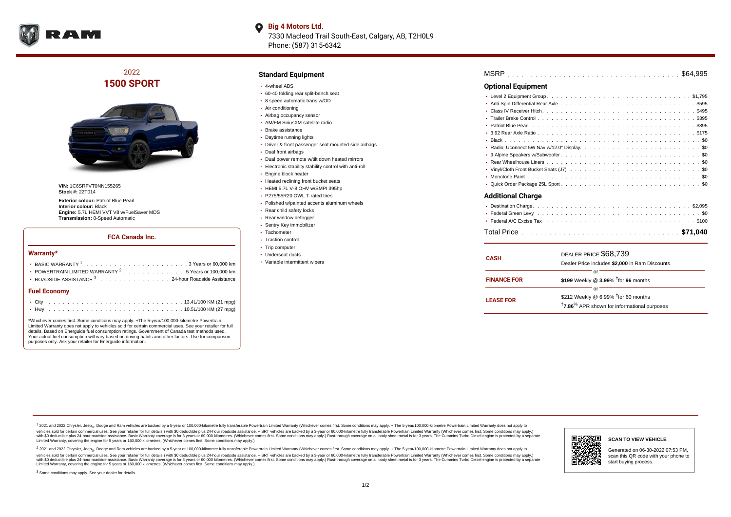

## **Big 4 Motors Ltd.** 7330 Macleod Trail South-East, Calgary, AB, T2H0L9

Phone: (587) 315-6342

# 2022 **1500 SPORT**



**VIN:** 1C6SRFVT0NN155265 **Stock #:** 22T014

**Exterior colour:** Patriot Blue Pearl **Interior colour:** Black **Engine:** 5.7L HEMI VVT V8 w/FuelSaver MDS **Transmission:** 8-Speed Automatic

### **FCA Canada Inc.**

#### **Warranty\***

| <b>Fuel Economy</b>                                                                      |  |  |  |  |  |  |
|------------------------------------------------------------------------------------------|--|--|--|--|--|--|
| ROADSIDE ASSISTANCE <sup>3</sup> 24-hour Roadside Assistance                             |  |  |  |  |  |  |
| • POWERTRAIN LIMITED WARRANTY $2, \ldots, \ldots, \ldots, \ldots, 5$ Years or 100,000 km |  |  |  |  |  |  |
|                                                                                          |  |  |  |  |  |  |
|                                                                                          |  |  |  |  |  |  |

\*Whichever comes first. Some conditions may apply. +The 5-year/100,000-kilometre Powertrain Limited Warranty does not apply to vehicles sold for certain commercial uses. See your retailer for full details. Based on Energuide fuel consumption ratings. Government of Canada test methods used. Your actual fuel consumption will vary based on driving habits and other factors. Use for comparison purposes only. Ask your retailer for Energuide information.

#### **Standard Equipment**

- 4-wheel ABS
- 60-40 folding rear split-bench seat
- 8 speed automatic trans w/OD
- Air conditioning
- Airbag occupancy sensor
- AM/FM SiriusXM satellite radio
- Brake assistance
- Daytime running lights
- Driver & front passenger seat mounted side airbags
- Dual front airbags
- Dual power remote w/tilt down heated mirrors
- Electronic stability stability control with anti-roll
- Engine block heater
- Heated reclining front bucket seats
- HEMI 5.7L V-8 OHV w/SMPI 395hp
- P275/55R20 OWL T-rated tires
- Polished w/painted accents aluminum wheels
- Rear child safety locks
- Rear window defogger
- Sentry Key immobilizer
- Tachometer
- Traction control
- Trip computer
- Underseat ducts
- Variable intermittent wipers

| MSRP |  |  |  |  |  |  |  |  |  |  |  |  |  |  |  |  |  |  |  |  |  |  |  |  |  |  |  |  |  |  |  |  |  |  |  |  |  |  |
|------|--|--|--|--|--|--|--|--|--|--|--|--|--|--|--|--|--|--|--|--|--|--|--|--|--|--|--|--|--|--|--|--|--|--|--|--|--|--|
|------|--|--|--|--|--|--|--|--|--|--|--|--|--|--|--|--|--|--|--|--|--|--|--|--|--|--|--|--|--|--|--|--|--|--|--|--|--|--|

### **Optional Equipment**

| Additional Charge |  |
|-------------------|--|

| <b>CASH</b>        | DEALER PRICE \$68,739<br>Dealer Price includes \$2,000 in Ram Discounts.                                                     |
|--------------------|------------------------------------------------------------------------------------------------------------------------------|
| <b>FINANCE FOR</b> | Ωľ<br>\$199 Weekly @ 3.99% <sup>t</sup> for 96 months                                                                        |
| <b>LEASE FOR</b>   | ΩI<br>\$212 Weekly @ 6.99% <sup>t</sup> for 60 months<br><sup>†</sup> 7.86 <sup>%</sup> APR shown for informational purposes |

1 2021 and 2022 Chrysler, Jeep<sub>er</sub>, Dodge and Ram vehicles are backed by a 5-year or 100,000-kilometre fully transferable Powertrain Limited Warranty (Whichever comes first. Some conditions may apply. + The 5-year/100,000vehicles sold for certain commercial uses. See your retailer for full details.) with \$0 deductible plus 24-hour roadside assistance. + SRT vehicles are backed by a 3-year or 60,000-kilometre fully transferable Powertrain L versus and contract the mean of the contract of the contract with a contract with a contract the contract of the search of the contract and a control of the contract and contract and control of the search of the search of Limited Warranty, covering the engine for 5 years or 160,000 kilometres. (Whichever comes first. Some conditions may apply.)

2 2021 and 2022 Chrysler, Jeep<sub>e»</sub> Dodge and Ram vehicles are backed by a 5-year or 100,000-kilometre fully transferable Powertrain Limited Warranty (Whichever comes first. Some conditions may apply. + The 5-year/100,000-k vehicles sold for certain commercial uses. See your retailer for full details.) with SO deductible plus 24-hour roadside assistance. + SRT vehicles are backed by a 3-year or 60.000-kilometre fully transferable Powertrain. with S0 deductible plus 24-hour roadside assistance. Basic Warranty coverage is for 3 years or 60,000 kilometres. (Whichever comes first. Some conditions may apply.) Rust-through coverage on all body sheet metal is for 3 y



#### **SCAN TO VIEW VEHICLE**

Generated on 06-30-2022 07:53 PM, scan this QR code with your phone to start buying process.

<sup>3</sup> Some conditions may apply. See your dealer for details.